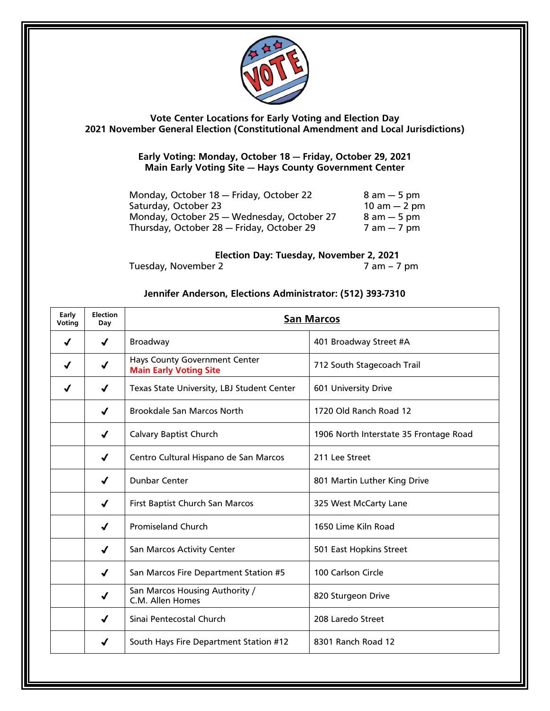

**Vote Center Locations for Early Voting and Election Day 2021 November General Election (Constitutional Amendment and Local Jurisdictions)**

> **Early Voting: Monday, October 18 — Friday, October 29, 2021 Main Early Voting Site — Hays County Government Center**

| Monday, October 18 - Friday, October 22    | $8$ am $-5$ pm                 |
|--------------------------------------------|--------------------------------|
| Saturday, October 23                       | $10 \text{ am} - 2 \text{ pm}$ |
| Monday, October 25 - Wednesday, October 27 | $8$ am $-5$ pm                 |
| Thursday, October 28 - Friday, October 29  | $7$ am $-7$ pm                 |

**Election Day: Tuesday, November 2, 2021** Tuesday, November 2 am – 7 pm

## **Jennifer Anderson, Elections Administrator: (512) 393-7310**

| Early<br>Voting | <b>Election</b><br>Day | <b>San Marcos</b>                                                     |                                        |
|-----------------|------------------------|-----------------------------------------------------------------------|----------------------------------------|
| ✔               | ✔                      | <b>Broadway</b>                                                       | 401 Broadway Street #A                 |
| ✔               | ✔                      | <b>Hays County Government Center</b><br><b>Main Early Voting Site</b> | 712 South Stagecoach Trail             |
|                 | √                      | Texas State University, LBJ Student Center                            | 601 University Drive                   |
|                 | √                      | <b>Brookdale San Marcos North</b>                                     | 1720 Old Ranch Road 12                 |
|                 | √                      | <b>Calvary Baptist Church</b>                                         | 1906 North Interstate 35 Frontage Road |
|                 | $\checkmark$           | Centro Cultural Hispano de San Marcos                                 | 211 Lee Street                         |
|                 | √                      | <b>Dunbar Center</b>                                                  | 801 Martin Luther King Drive           |
|                 | $\checkmark$           | First Baptist Church San Marcos                                       | 325 West McCarty Lane                  |
|                 | $\boldsymbol{J}$       | <b>Promiseland Church</b>                                             | 1650 Lime Kiln Road                    |
|                 | $\checkmark$           | San Marcos Activity Center                                            | 501 East Hopkins Street                |
|                 | $\checkmark$           | San Marcos Fire Department Station #5                                 | 100 Carlson Circle                     |
|                 | √                      | San Marcos Housing Authority /<br>C.M. Allen Homes                    | 820 Sturgeon Drive                     |
|                 | $\checkmark$           | Sinai Pentecostal Church                                              | 208 Laredo Street                      |
|                 | √                      | South Hays Fire Department Station #12                                | 8301 Ranch Road 12                     |